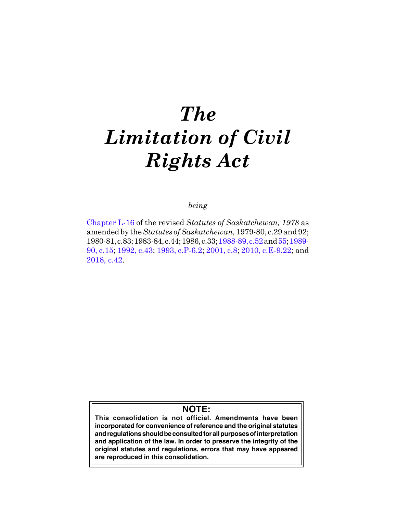# *The Limitation of Civil Rights Act*

## *being*

[Chapter L-16](https://publications.saskatchewan.ca:443/api/v1/products/30898/formats/37990/download) of the revised *Statutes of Saskatchewan, 1978* as amended by the *Statutes of Saskatchewan,* 1979-80, c.29 and 92; 1980-81, c.83; 1983-84, c.44; 1986, c.33; [1988-89, c.52](https://publications.saskatchewan.ca:443/api/v1/products/103577/formats/114918/download) and [55](https://publications.saskatchewan.ca:443/api/v1/products/103580/formats/114924/download); [1989-](https://publications.saskatchewan.ca:443/api/v1/products/24548/formats/31535/download) [90, c.15;](https://publications.saskatchewan.ca:443/api/v1/products/24548/formats/31535/download) [1992, c.43;](https://publications.saskatchewan.ca:443/api/v1/products/25237/formats/32597/download) [1993, c.P-6.2;](https://publications.saskatchewan.ca:443/api/v1/products/26406/formats/33548/download) [2001, c.8](https://publications.saskatchewan.ca:443/api/v1/products/3392/formats/6375/download); [2010, c.E-9.22;](https://publications.saskatchewan.ca:443/api/v1/products/30312/formats/37301/download) and [2018, c.42.](https://publications.saskatchewan.ca:443/api/v1/products/90531/formats/107441/download)

# **NOTE:**

**This consolidation is not official. Amendments have been incorporated for convenience of reference and the original statutes and regulations should be consulted for all purposes of interpretation and application of the law. In order to preserve the integrity of the original statutes and regulations, errors that may have appeared are reproduced in this consolidation.**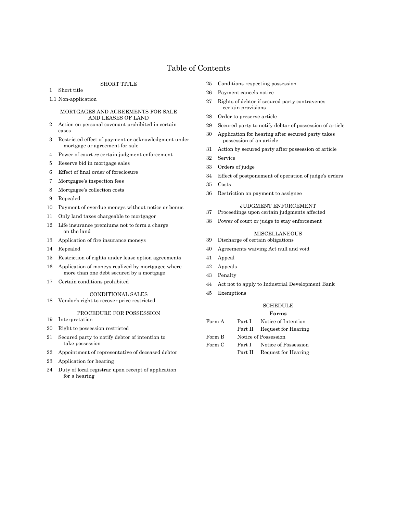## Table of Contents

#### SHORT TITLE

- Short title
- 1.1 Non-application

#### MORTGAGES AND AGREEMENTS FOR SALE AND LEASES OF LAND

- Action on personal covenant prohibited in certain cases
- Restricted effect of payment or acknowledgment under mortgage or agreement for sale
- Power of court *re* certain judgment enforcement
- Reserve bid in mortgage sales
- Effect of final order of foreclosure
- Mortgagee's inspection fees
- Mortgagee's collection costs
- Repealed
- Payment of overdue moneys without notice or bonus
- Only land taxes chargeable to mortgagor
- Life insurance premiums not to form a charge on the land
- Application of fire insurance moneys
- Repealed
- Restriction of rights under lease option agreements
- Application of moneys realized by mortgagee where more than one debt secured by a mortgage
- Certain conditions prohibited

#### CONDITIONAL SALES

Vendor's right to recover price restricted

#### PROCEDURE FOR POSSESSION

- Interpretation
- Right to possession restricted
- Secured party to notify debtor of intention to take possession
- Appointment of representative of deceased debtor
- Application for hearing
- Duty of local registrar upon receipt of application for a hearing
- Conditions respecting possession
- Payment cancels notice
- Rights of debtor if secured party contravenes certain provisions
- Order to preserve article
- Secured party to notify debtor of possession of article
- Application for hearing after secured party takes possession of an article
- Action by secured party after possession of article
- Service
- Orders of judge
- Effect of postponement of operation of judge's orders
- Costs
- Restriction on payment to assignee

#### JUDGMENT ENFORCEMENT

 Proceedings upon certain judgments affected Power of court or judge to stay enforcement

#### MISCELLANEOUS

- Discharge of certain obligations
- Agreements waiving Act null and void
- Appeal
- Appeals
- Penalty
- Act not to apply to Industrial Development Bank
- Exemptions

#### **SCHEDULE Forms**

| Form A | $\rm Part~I$ | Notice of Intention         |  |
|--------|--------------|-----------------------------|--|
|        |              | Part II Request for Hearing |  |
| Form B |              | Notice of Possession        |  |
| Form C |              | Part I Notice of Possession |  |
|        | Part II      | Request for Hearing         |  |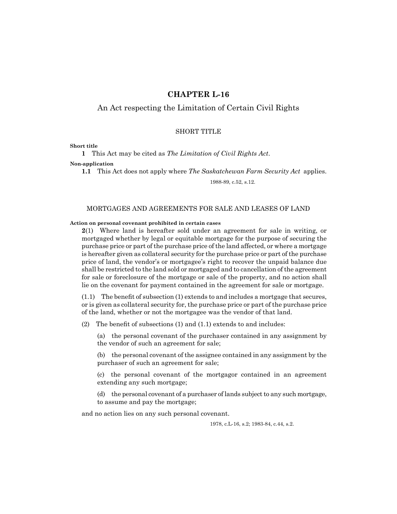## **CHAPTER L-16**

## An Act respecting the Limitation of Certain Civil Rights

### SHORT TITLE

#### **Short title**

**1** This Act may be cited as *The Limitation of Civil Rights Act*.

#### **Non-application**

**1.1** This Act does not apply where *The Saskatchewan Farm Security Act* applies. 1988-89, c.52, s.12.

#### MORTGAGES AND AGREEMENTS FOR SALE AND LEASES OF LAND

#### **Action on personal covenant prohibited in certain cases**

**2**(1) Where land is hereafter sold under an agreement for sale in writing, or mortgaged whether by legal or equitable mortgage for the purpose of securing the purchase price or part of the purchase price of the land affected, or where a mortgage is hereafter given as collateral security for the purchase price or part of the purchase price of land, the vendor's or mortgagee's right to recover the unpaid balance due shall be restricted to the land sold or mortgaged and to cancellation of the agreement for sale or foreclosure of the mortgage or sale of the property, and no action shall lie on the covenant for payment contained in the agreement for sale or mortgage.

(1.1) The benefit of subsection (1) extends to and includes a mortgage that secures, or is given as collateral security for, the purchase price or part of the purchase price of the land, whether or not the mortgagee was the vendor of that land.

(2) The benefit of subsections (1) and (1.1) extends to and includes:

(a) the personal covenant of the purchaser contained in any assignment by the vendor of such an agreement for sale;

(b) the personal covenant of the assignee contained in any assignment by the purchaser of such an agreement for sale;

(c) the personal covenant of the mortgagor contained in an agreement extending any such mortgage;

(d) the personal covenant of a purchaser of lands subject to any such mortgage, to assume and pay the mortgage;

and no action lies on any such personal covenant.

1978, c.L-16, s.2; 1983-84, c.44, s.2.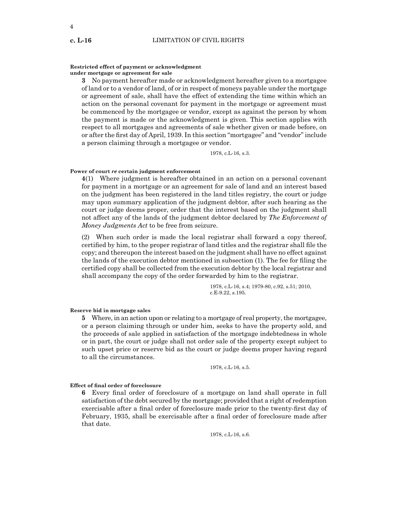#### **Restricted effect of payment or acknowledgment under mortgage or agreement for sale**

**3** No payment hereafter made or acknowledgment hereafter given to a mortgagee of land or to a vendor of land, of or in respect of moneys payable under the mortgage or agreement of sale, shall have the effect of extending the time within which an action on the personal covenant for payment in the mortgage or agreement must be commenced by the mortgagee or vendor, except as against the person by whom the payment is made or the acknowledgment is given. This section applies with respect to all mortgages and agreements of sale whether given or made before, on or after the first day of April, 1939. In this section "mortgagee" and "vendor" include a person claiming through a mortgagee or vendor.

1978, c.L-16, s.3.

#### **Power of court** *re* **certain judgment enforcement**

**4**(1) Where judgment is hereafter obtained in an action on a personal covenant for payment in a mortgage or an agreement for sale of land and an interest based on the judgment has been registered in the land titles registry, the court or judge may upon summary application of the judgment debtor, after such hearing as the court or judge deems proper, order that the interest based on the judgment shall not affect any of the lands of the judgment debtor declared by *The Enforcement of Money Judgments Act* to be free from seizure.

(2) When such order is made the local registrar shall forward a copy thereof, certified by him, to the proper registrar of land titles and the registrar shall file the copy; and thereupon the interest based on the judgment shall have no effect against the lands of the execution debtor mentioned in subsection (1). The fee for filing the certified copy shall be collected from the execution debtor by the local registrar and shall accompany the copy of the order forwarded by him to the registrar.

> 1978, c.L-16, s.4; 1979-80, c.92, s.51; 2010, c.E-9.22, s.195.

#### **Reserve bid in mortgage sales**

**5** Where, in an action upon or relating to a mortgage of real property, the mortgagee, or a person claiming through or under him, seeks to have the property sold, and the proceeds of sale applied in satisfaction of the mortgage indebtedness in whole or in part, the court or judge shall not order sale of the property except subject to such upset price or reserve bid as the court or judge deems proper having regard to all the circumstances.

1978, c.L-16, s.5.

#### **Effect of final order of foreclosure**

**6** Every final order of foreclosure of a mortgage on land shall operate in full satisfaction of the debt secured by the mortgage; provided that a right of redemption exercisable after a final order of foreclosure made prior to the twenty-first day of February, 1935, shall be exercisable after a final order of foreclosure made after that date.

1978, c.L-16, s.6.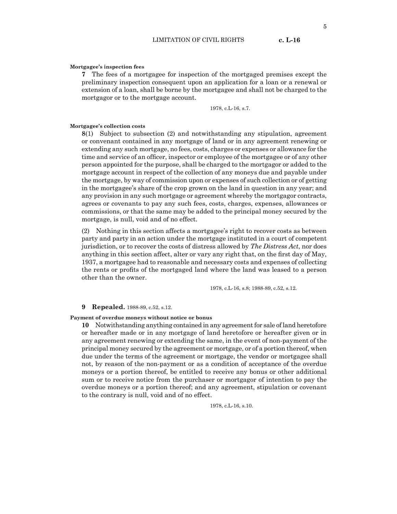5

#### **Mortgagee's inspection fees**

**7** The fees of a mortgagee for inspection of the mortgaged premises except the preliminary inspection consequent upon an application for a loan or a renewal or extension of a loan, shall be borne by the mortgagee and shall not be charged to the mortgagor or to the mortgage account.

1978, c.L-16, s.7.

#### **Mortgagee's collection costs**

**8**(1) Subject to subsection (2) and notwithstanding any stipulation, agreement or convenant contained in any mortgage of land or in any agreement renewing or extending any such mortgage, no fees, costs, charges or expenses or allowance for the time and service of an officer, inspector or employee of the mortgagee or of any other person appointed for the purpose, shall be charged to the mortgagor or added to the mortgage account in respect of the collection of any moneys due and payable under the mortgage, by way of commission upon or expenses of such collection or of getting in the mortgagee's share of the crop grown on the land in question in any year; and any provision in any such mortgage or agreement whereby the mortgagor contracts, agrees or covenants to pay any such fees, costs, charges, expenses, allowances or commissions, or that the same may be added to the principal money secured by the mortgage, is null, void and of no effect.

(2) Nothing in this section affects a mortgagee's right to recover costs as between party and party in an action under the mortgage instituted in a court of competent jurisdiction, or to recover the costs of distress allowed by *The Distress Act*, nor does anything in this section affect, alter or vary any right that, on the first day of May, 1937, a mortgagee had to reasonable and necessary costs and expenses of collecting the rents or profits of the mortgaged land where the land was leased to a person other than the owner.

1978, c.L-16, s.8; 1988-89, c.52, s.12.

#### **9 Repealed.** 1988-89, c.52, s.12.

**Payment of overdue moneys without notice or bonus**

**10** Notwithstanding anything contained in any agreement for sale of land heretofore or hereafter made or in any mortgage of land heretofore or hereafter given or in any agreement renewing or extending the same, in the event of non-payment of the principal money secured by the agreement or mortgage, or of a portion thereof, when due under the terms of the agreement or mortgage, the vendor or mortgagee shall not, by reason of the non-payment or as a condition of acceptance of the overdue moneys or a portion thereof, be entitled to receive any bonus or other additional sum or to receive notice from the purchaser or mortgagor of intention to pay the overdue moneys or a portion thereof; and any agreement, stipulation or covenant to the contrary is null, void and of no effect.

1978, c.L-16, s.10.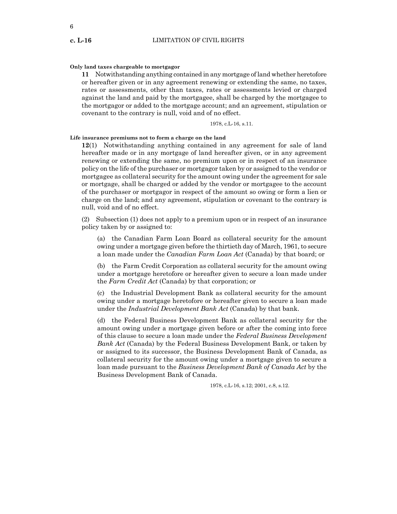#### **Only land taxes chargeable to mortgagor**

**11** Notwithstanding anything contained in any mortgage of land whether heretofore or hereafter given or in any agreement renewing or extending the same, no taxes, rates or assessments, other than taxes, rates or assessments levied or charged against the land and paid by the mortgagee, shall be charged by the mortgagee to the mortgagor or added to the mortgage account; and an agreement, stipulation or covenant to the contrary is null, void and of no effect.

1978, c.L-16, s.11.

#### **Life insurance premiums not to form a charge on the land**

**12**(1) Notwithstanding anything contained in any agreement for sale of land hereafter made or in any mortgage of land hereafter given, or in any agreement renewing or extending the same, no premium upon or in respect of an insurance policy on the life of the purchaser or mortgagor taken by or assigned to the vendor or mortgagee as collateral security for the amount owing under the agreement for sale or mortgage, shall be charged or added by the vendor or mortgagee to the account of the purchaser or mortgagor in respect of the amount so owing or form a lien or charge on the land; and any agreement, stipulation or covenant to the contrary is null, void and of no effect.

(2) Subsection (1) does not apply to a premium upon or in respect of an insurance policy taken by or assigned to:

(a) the Canadian Farm Loan Board as collateral security for the amount owing under a mortgage given before the thirtieth day of March, 1961, to secure a loan made under the *Canadian Farm Loan Act* (Canada) by that board; or

(b) the Farm Credit Corporation as collateral security for the amount owing under a mortgage heretofore or hereafter given to secure a loan made under the *Farm Credit Act* (Canada) by that corporation; or

(c) the Industrial Development Bank as collateral security for the amount owing under a mortgage heretofore or hereafter given to secure a loan made under the *Industrial Development Bank Act* (Canada) by that bank.

(d) the Federal Business Development Bank as collateral security for the amount owing under a mortgage given before or after the coming into force of this clause to secure a loan made under the *Federal Business Development Bank Act* (Canada) by the Federal Business Development Bank, or taken by or assigned to its successor, the Business Development Bank of Canada, as collateral security for the amount owing under a mortgage given to secure a loan made pursuant to the *Business Development Bank of Canada Act* by the Business Development Bank of Canada.

1978, c.L-16, s.12; 2001, c.8, s.12.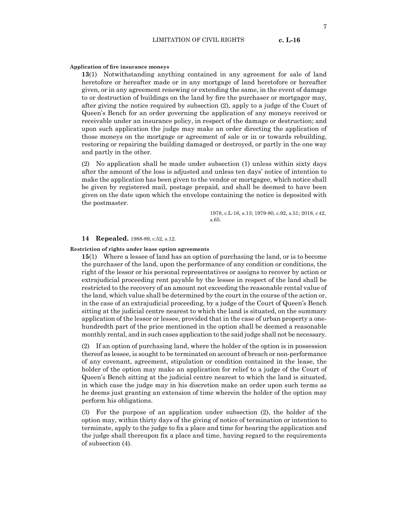#### **Application of fire insurance moneys**

**13**(1) Notwithstanding anything contained in any agreement for sale of land heretofore or hereafter made or in any mortgage of land heretofore or hereafter given, or in any agreement renewing or extending the same, in the event of damage to or destruction of buildings on the land by fire the purchaser or mortgagor may, after giving the notice required by subsection (2), apply to a judge of the Court of Queen's Bench for an order governing the application of any moneys received or receivable under an insurance policy, in respect of the damage or destruction; and upon such application the judge may make an order directing the application of those moneys on the mortgage or agreement of sale or in or towards rebuilding, restoring or repairing the building damaged or destroyed, or partly in the one way and partly in the other.

(2) No application shall be made under subsection (1) unless within sixty days after the amount of the loss is adjusted and unless ten days' notice of intention to make the application has been given to the vendor or mortgagee, which notice shall be given by registered mail, postage prepaid, and shall be deemed to have been given on the date upon which the envelope containing the notice is deposited with the postmaster.

> 1978, c.L-16, s.13; 1979-80, c.92, s.51; 2018, c42, s.65.

#### **14 Repealed.** 1988-89, c.52, s.12.

#### **Restriction of rights under lease option agreements**

**15**(1) Where a lessee of land has an option of purchasing the land, or is to become the purchaser of the land, upon the performance of any condition or conditions, the right of the lessor or his personal representatives or assigns to recover by action or extrajudicial proceeding rent payable by the lessee in respect of the land shall be restricted to the recovery of an amount not exceeding the reasonable rental value of the land, which value shall be determined by the court in the course of the action or, in the case of an extrajudicial proceeding, by a judge of the Court of Queen's Bench sitting at the judicial centre nearest to which the land is situated, on the summary application of the lessor or lessee, provided that in the case of urban property a onehundredth part of the price mentioned in the option shall be deemed a reasonable monthly rental, and in such cases application to the said judge shall not be necessary.

(2) If an option of purchasing land, where the holder of the option is in possession thereof as lessee, is sought to be terminated on account of breach or non-performance of any covenant, agreement, stipulation or condition contained in the lease, the holder of the option may make an application for relief to a judge of the Court of Queen's Bench sitting at the judicial centre nearest to which the land is situated, in which case the judge may in his discretion make an order upon such terms as he deems just granting an extension of time wherein the holder of the option may perform his obligations.

(3) For the purpose of an application under subsection (2), the holder of the option may, within thirty days of the giving of notice of termination or intention to terminate, apply to the judge to fix a place and time for hearing the application and the judge shall thereupon fix a place and time, having regard to the requirements of subsection (4).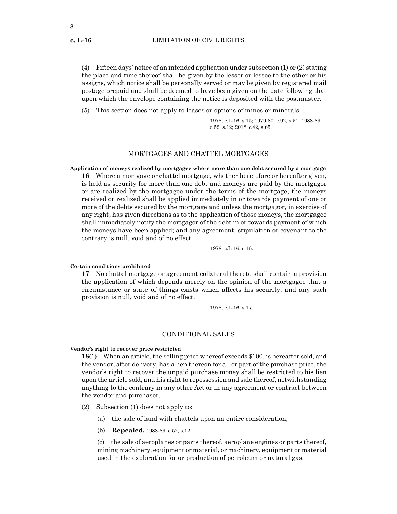(4) Fifteen days' notice of an intended application under subsection (1) or (2) stating the place and time thereof shall be given by the lessor or lessee to the other or his assigns, which notice shall be personally served or may be given by registered mail postage prepaid and shall be deemed to have been given on the date following that upon which the envelope containing the notice is deposited with the postmaster.

(5) This section does not apply to leases or options of mines or minerals.

1978, c.L-16, s.15; 1979-80, c.92, s.51; 1988-89, c.52, s.12; 2018, c42, s.65.

## MORTGAGES AND CHATTEL MORTGAGES

**Application of moneys realized by mortgagee where more than one debt secured by a mortgage 16** Where a mortgage or chattel mortgage, whether heretofore or hereafter given, is held as security for more than one debt and moneys are paid by the mortgagor or are realized by the mortgagee under the terms of the mortgage, the moneys received or realized shall be applied immediately in or towards payment of one or more of the debts secured by the mortgage and unless the mortgagor, in exercise of any right, has given directions as to the application of those moneys, the mortgagee shall immediately notify the mortgagor of the debt in or towards payment of which the moneys have been applied; and any agreement, stipulation or covenant to the contrary is null, void and of no effect.

1978, c.L-16, s.16.

#### **Certain conditions prohibited**

**17** No chattel mortgage or agreement collateral thereto shall contain a provision the application of which depends merely on the opinion of the mortgagee that a circumstance or state of things exists which affects his security; and any such provision is null, void and of no effect.

1978, c.L-16, s.17.

#### CONDITIONAL SALES

#### **Vendor's right to recover price restricted**

**18**(1) When an article, the selling price whereof exceeds \$100, is hereafter sold, and the vendor, after delivery, has a lien thereon for all or part of the purchase price, the vendor's right to recover the unpaid purchase money shall be restricted to his lien upon the article sold, and his right to repossession and sale thereof, notwithstanding anything to the contrary in any other Act or in any agreement or contract between the vendor and purchaser.

(2) Subsection (1) does not apply to:

- (a) the sale of land with chattels upon an entire consideration;
- (b) **Repealed.** 1988-89, c.52, s.12.

(c) the sale of aeroplanes or parts thereof, aeroplane engines or parts thereof, mining machinery, equipment or material, or machinery, equipment or material used in the exploration for or production of petroleum or natural gas;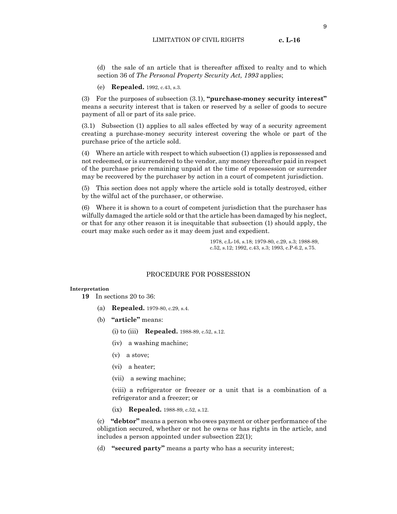(d) the sale of an article that is thereafter affixed to realty and to which section 36 of *The Personal Property Security Act, 1993* applies;

(e) **Repealed.** 1992, c.43, s.3.

(3) For the purposes of subsection (3.1), **"purchase-money security interest"** means a security interest that is taken or reserved by a seller of goods to secure payment of all or part of its sale price.

(3.1) Subsection (1) applies to all sales effected by way of a security agreement creating a purchase-money security interest covering the whole or part of the purchase price of the article sold.

(4) Where an article with respect to which subsection (1) applies is repossessed and not redeemed, or is surrendered to the vendor, any money thereafter paid in respect of the purchase price remaining unpaid at the time of repossession or surrender may be recovered by the purchaser by action in a court of competent jurisdiction.

(5) This section does not apply where the article sold is totally destroyed, either by the wilful act of the purchaser, or otherwise.

(6) Where it is shown to a court of competent jurisdiction that the purchaser has wilfully damaged the article sold or that the article has been damaged by his neglect, or that for any other reason it is inequitable that subsection (1) should apply, the court may make such order as it may deem just and expedient.

> 1978, c.L-16, s.18; 1979-80, c.29, s.3; 1988-89, c.52, s.12; 1992, c.43, s.3; 1993, c.P-6.2, s.75.

## PROCEDURE FOR POSSESSION

#### **Interpretation**

**19** In sections 20 to 36:

- (a) **Repealed.** 1979-80, c.29, s.4.
- (b) **"article"** means:
	- (i) to (iii) **Repealed.** 1988-89, c.52, s.12.
	- (iv) a washing machine;
	- (v) a stove;
	- (vi) a heater;
	- (vii) a sewing machine;

(viii) a refrigerator or freezer or a unit that is a combination of a refrigerator and a freezer; or

(ix) **Repealed.** 1988-89, c.52, s.12.

(c) **"debtor"** means a person who owes payment or other performance of the obligation secured, whether or not he owns or has rights in the article, and includes a person appointed under subsection 22(1);

(d) **"secured party"** means a party who has a security interest;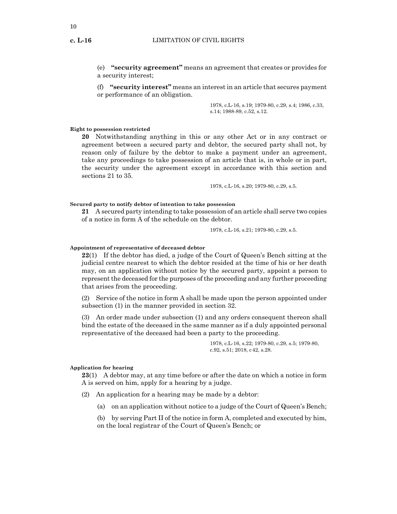10

(e) **"security agreement"** means an agreement that creates or provides for a security interest;

(f) **"security interest"** means an interest in an article that secures payment or performance of an obligation.

> 1978, c.L-16, s.19; 1979-80, c.29, s.4; 1986, c.33, s.14; 1988-89, c.52, s.12.

#### **Right to possession restricted**

**20** Notwithstanding anything in this or any other Act or in any contract or agreement between a secured party and debtor, the secured party shall not, by reason only of failure by the debtor to make a payment under an agreement, take any proceedings to take possession of an article that is, in whole or in part, the security under the agreement except in accordance with this section and sections 21 to 35.

1978, c.L-16, s.20; 1979-80, c.29, s.5.

#### **Secured party to notify debtor of intention to take possession**

**21** A secured party intending to take possession of an article shall serve two copies of a notice in form A of the schedule on the debtor.

1978, c.L-16, s.21; 1979-80, c.29, s.5.

#### **Appointment of representative of deceased debtor**

**22**(1) If the debtor has died, a judge of the Court of Queen's Bench sitting at the judicial centre nearest to which the debtor resided at the time of his or her death may, on an application without notice by the secured party, appoint a person to represent the deceased for the purposes of the proceeding and any further proceeding that arises from the proceeding.

(2) Service of the notice in form A shall be made upon the person appointed under subsection (1) in the manner provided in section 32.

(3) An order made under subsection (1) and any orders consequent thereon shall bind the estate of the deceased in the same manner as if a duly appointed personal representative of the deceased had been a party to the proceeding.

> 1978, c.L-16, s.22; 1979-80, c.29, s.5; 1979-80, c.92, s.51; 2018, c42, s.28.

#### **Application for hearing**

**23**(1) A debtor may, at any time before or after the date on which a notice in form A is served on him, apply for a hearing by a judge.

(2) An application for a hearing may be made by a debtor:

(a) on an application without notice to a judge of the Court of Queen's Bench;

(b) by serving Part II of the notice in form A, completed and executed by him, on the local registrar of the Court of Queen's Bench; or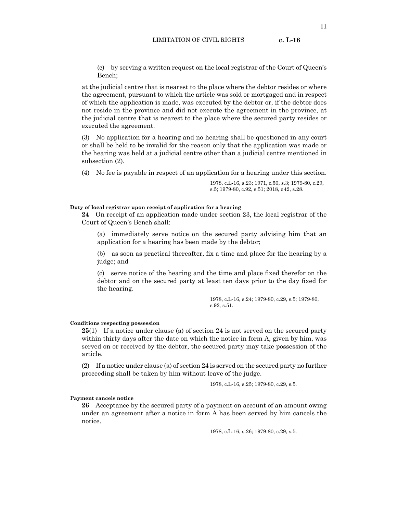(c) by serving a written request on the local registrar of the Court of Queen's Bench;

at the judicial centre that is nearest to the place where the debtor resides or where the agreement, pursuant to which the article was sold or mortgaged and in respect of which the application is made, was executed by the debtor or, if the debtor does not reside in the province and did not execute the agreement in the province, at the judicial centre that is nearest to the place where the secured party resides or executed the agreement.

(3) No application for a hearing and no hearing shall be questioned in any court or shall be held to be invalid for the reason only that the application was made or the hearing was held at a judicial centre other than a judicial centre mentioned in subsection (2).

(4) No fee is payable in respect of an application for a hearing under this section.

1978, c.L-16, s.23; 1971, c.50, s.3; 1979-80, c.29, s.5; 1979-80, c.92, s.51; 2018, c42, s.28.

#### **Duty of local registrar upon receipt of application for a hearing**

**24** On receipt of an application made under section 23, the local registrar of the Court of Queen's Bench shall:

(a) immediately serve notice on the secured party advising him that an application for a hearing has been made by the debtor;

(b) as soon as practical thereafter, fix a time and place for the hearing by a judge; and

(c) serve notice of the hearing and the time and place fixed therefor on the debtor and on the secured party at least ten days prior to the day fixed for the hearing.

> 1978, c.L-16, s.24; 1979-80, c.29, s.5; 1979-80, c.92, s.51.

#### **Conditions respecting possession**

**25**(1) If a notice under clause (a) of section 24 is not served on the secured party within thirty days after the date on which the notice in form A, given by him, was served on or received by the debtor, the secured party may take possession of the article.

(2) If a notice under clause (a) of section 24 is served on the secured party no further proceeding shall be taken by him without leave of the judge.

1978, c.L-16, s.25; 1979-80, c.29, s.5.

#### **Payment cancels notice**

**26** Acceptance by the secured party of a payment on account of an amount owing under an agreement after a notice in form A has been served by him cancels the notice.

1978, c.L-16, s.26; 1979-80, c.29, s.5.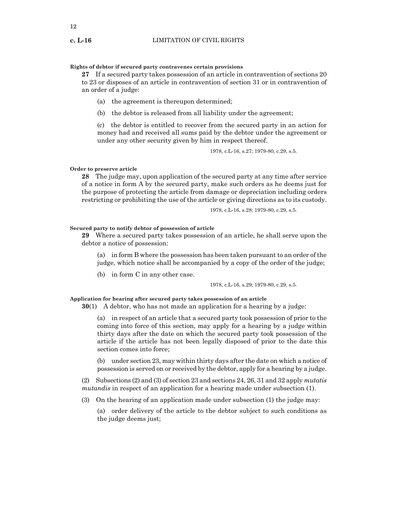#### **Rights of debtor if secured party contravenes certain provisions**

**27** If a secured party takes possession of an article in contravention of sections 20 to 23 or disposes of an article in contravention of section 31 or in contravention of an order of a judge:

- (a) the agreement is thereupon determined;
- (b) the debtor is released from all liability under the agreement;

(c) the debtor is entitled to recover from the secured party in an action for money had and received all sums paid by the debtor under the agreement or under any other security given by him in respect thereof.

1978, c.L-16, s.27; 1979-80, c.29, s.5.

#### **Order to preserve article**

**28** The judge may, upon application of the secured party at any time after service of a notice in form A by the secured party, make such orders as he deems just for the purpose of protecting the article from damage or depreciation including orders restricting or prohibiting the use of the article or giving directions as to its custody.

1978, c.L-16, s.28; 1979-80, c.29, s.5.

#### **Secured party to notify debtor of possession of article**

**29** Where a secured party takes possession of an article, he shall serve upon the debtor a notice of possession:

(a) in form B where the possession has been taken pursuant to an order of the judge, which notice shall be accompanied by a copy of the order of the judge;

(b) in form C in any other case.

1978, c.L-16, s.29; 1979-80, c.29, s.5.

#### **Application for hearing after secured party takes possession of an article**

**30**(1) A debtor, who has not made an application for a hearing by a judge:

(a) in respect of an article that a secured party took possession of prior to the coming into force of this section, may apply for a hearing by a judge within thirty days after the date on which the secured party took possession of the article if the article has not been legally disposed of prior to the date this section comes into force;

(b) under section 23, may within thirty days after the date on which a notice of possession is served on or received by the debtor, apply for a hearing by a judge.

(2) Subsections (2) and (3) of section 23 and sections 24, 26, 31 and 32 apply *mutatis mutandis* in respect of an application for a hearing made under subsection (1).

(3) On the hearing of an application made under subsection (1) the judge may:

(a) order delivery of the article to the debtor subject to such conditions as the judge deems just;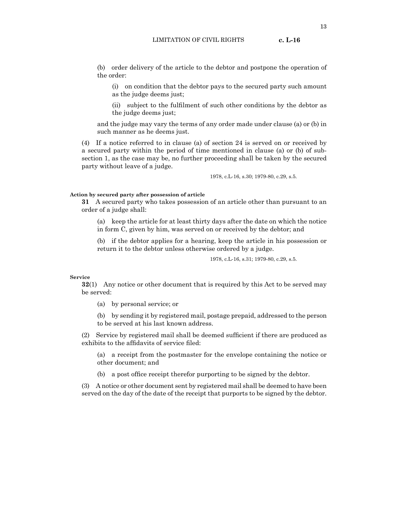(b) order delivery of the article to the debtor and postpone the operation of the order:

(i) on condition that the debtor pays to the secured party such amount as the judge deems just;

(ii) subject to the fulfilment of such other conditions by the debtor as the judge deems just;

and the judge may vary the terms of any order made under clause (a) or (b) in such manner as he deems just.

(4) If a notice referred to in clause (a) of section 24 is served on or received by a secured party within the period of time mentioned in clause (a) or (b) of subsection 1, as the case may be, no further proceeding shall be taken by the secured party without leave of a judge.

1978, c.L-16, s.30; 1979-80, c.29, s.5.

#### **Action by secured party after possession of article**

**31** A secured party who takes possession of an article other than pursuant to an order of a judge shall:

(a) keep the article for at least thirty days after the date on which the notice in form C, given by him, was served on or received by the debtor; and

(b) if the debtor applies for a hearing, keep the article in his possession or return it to the debtor unless otherwise ordered by a judge.

1978, c.L-16, s.31; 1979-80, c.29, s.5.

#### **Service**

**32**(1) Any notice or other document that is required by this Act to be served may be served:

(a) by personal service; or

(b) by sending it by registered mail, postage prepaid, addressed to the person to be served at his last known address.

(2) Service by registered mail shall be deemed sufficient if there are produced as exhibits to the affidavits of service filed:

(a) a receipt from the postmaster for the envelope containing the notice or other document; and

(b) a post office receipt therefor purporting to be signed by the debtor.

(3) A notice or other document sent by registered mail shall be deemed to have been served on the day of the date of the receipt that purports to be signed by the debtor.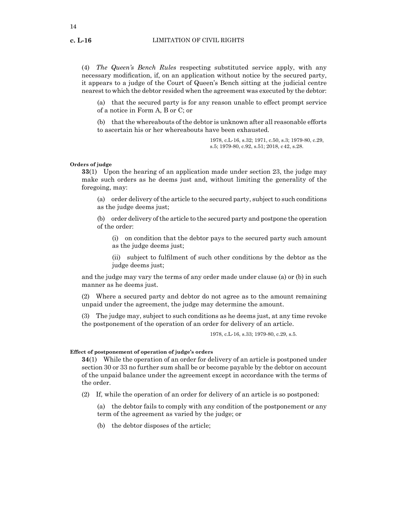(4) *The Queen's Bench Rules* respecting substituted service apply, with any necessary modification, if, on an application without notice by the secured party, it appears to a judge of the Court of Queen's Bench sitting at the judicial centre nearest to which the debtor resided when the agreement was executed by the debtor:

(a) that the secured party is for any reason unable to effect prompt service of a notice in Form A, B or C; or

(b) that the whereabouts of the debtor is unknown after all reasonable efforts to ascertain his or her whereabouts have been exhausted*.*

> 1978, c.L-16, s.32; 1971, c.50, s.3; 1979-80, c.29, s.5; 1979-80, c.92, s.51; 2018, c42, s.28.

#### **Orders of judge**

**33**(1) Upon the hearing of an application made under section 23, the judge may make such orders as he deems just and, without limiting the generality of the foregoing, may:

(a) order delivery of the article to the secured party, subject to such conditions as the judge deems just;

(b) order delivery of the article to the secured party and postpone the operation of the order:

(i) on condition that the debtor pays to the secured party such amount as the judge deems just;

(ii) subject to fulfilment of such other conditions by the debtor as the judge deems just;

and the judge may vary the terms of any order made under clause (a) or (b) in such manner as he deems just.

(2) Where a secured party and debtor do not agree as to the amount remaining unpaid under the agreement, the judge may determine the amount.

(3) The judge may, subject to such conditions as he deems just, at any time revoke the postponement of the operation of an order for delivery of an article.

1978, c.L-16, s.33; 1979-80, c.29, s.5.

#### **Effect of postponement of operation of judge's orders**

**34**(1) While the operation of an order for delivery of an article is postponed under section 30 or 33 no further sum shall be or become payable by the debtor on account of the unpaid balance under the agreement except in accordance with the terms of the order.

(2) If, while the operation of an order for delivery of an article is so postponed:

(a) the debtor fails to comply with any condition of the postponement or any term of the agreement as varied by the judge; or

(b) the debtor disposes of the article;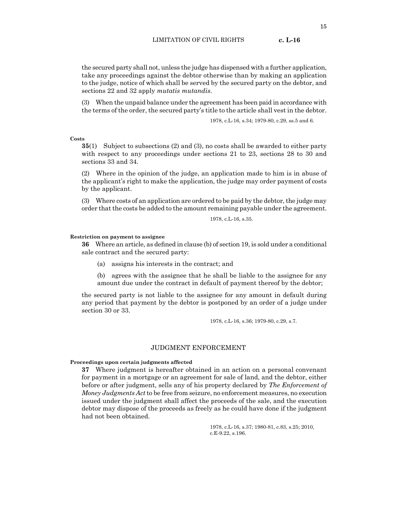the secured party shall not, unless the judge has dispensed with a further application, take any proceedings against the debtor otherwise than by making an application to the judge, notice of which shall be served by the secured party on the debtor, and sections 22 and 32 apply *mutatis mutandis*.

(3) When the unpaid balance under the agreement has been paid in accordance with the terms of the order, the secured party's title to the article shall vest in the debtor.

1978, c.L-16, s.34; 1979-80, c.29, ss.5 and 6.

**Costs**

**35**(1) Subject to subsections (2) and (3), no costs shall be awarded to either party with respect to any proceedings under sections 21 to 23, sections 28 to 30 and sections 33 and 34.

(2) Where in the opinion of the judge, an application made to him is in abuse of the applicant's right to make the application, the judge may order payment of costs by the applicant.

(3) Where costs of an application are ordered to be paid by the debtor, the judge may order that the costs be added to the amount remaining payable under the agreement.

1978, c.L-16, s.35.

#### **Restriction on payment to assignee**

**36** Where an article, as defined in clause (b) of section 19, is sold under a conditional sale contract and the secured party:

(a) assigns his interests in the contract; and

(b) agrees with the assignee that he shall be liable to the assignee for any amount due under the contract in default of payment thereof by the debtor;

the secured party is not liable to the assignee for any amount in default during any period that payment by the debtor is postponed by an order of a judge under section 30 or 33.

1978, c.L-16, s.36; 1979-80, c.29, s.7.

#### JUDGMENT ENFORCEMENT

#### **Proceedings upon certain judgments affected**

**37** Where judgment is hereafter obtained in an action on a personal convenant for payment in a mortgage or an agreement for sale of land, and the debtor, either before or after judgment, sells any of his property declared by *The Enforcement of Money Judgments Act* to be free from seizure, no enforcement measures, no execution issued under the judgment shall affect the proceeds of the sale, and the execution debtor may dispose of the proceeds as freely as he could have done if the judgment had not been obtained.

> 1978, c.L-16, s.37; 1980-81, c.83, s.25; 2010, c.E-9.22, s.196.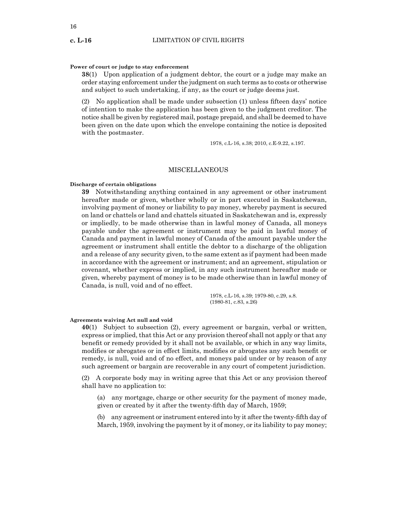#### **Power of court or judge to stay enforcement**

**38**(1) Upon application of a judgment debtor, the court or a judge may make an order staying enforcement under the judgment on such terms as to costs or otherwise and subject to such undertaking, if any, as the court or judge deems just.

(2) No application shall be made under subsection (1) unless fifteen days' notice of intention to make the application has been given to the judgment creditor. The notice shall be given by registered mail, postage prepaid, and shall be deemed to have been given on the date upon which the envelope containing the notice is deposited with the postmaster.

1978, c.L-16, s.38; 2010, c.E-9.22, s.197.

#### MISCELLANEOUS

#### **Discharge of certain obligations**

**39** Notwithstanding anything contained in any agreement or other instrument hereafter made or given, whether wholly or in part executed in Saskatchewan, involving payment of money or liability to pay money, whereby payment is secured on land or chattels or land and chattels situated in Saskatchewan and is, expressly or impliedly, to be made otherwise than in lawful money of Canada, all moneys payable under the agreement or instrument may be paid in lawful money of Canada and payment in lawful money of Canada of the amount payable under the agreement or instrument shall entitle the debtor to a discharge of the obligation and a release of any security given, to the same extent as if payment had been made in accordance with the agreement or instrument; and an agreement, stipulation or covenant, whether express or implied, in any such instrument hereafter made or given, whereby payment of money is to be made otherwise than in lawful money of Canada, is null, void and of no effect.

> 1978, c.L-16, s.39; 1979-80, c.29, s.8. (1980-81, c.83, s.26)

#### **Agreements waiving Act null and void**

**40**(1) Subject to subsection (2), every agreement or bargain, verbal or written, express or implied, that this Act or any provision thereof shall not apply or that any benefit or remedy provided by it shall not be available, or which in any way limits, modifies or abrogates or in effect limits, modifies or abrogates any such benefit or remedy, is null, void and of no effect, and moneys paid under or by reason of any such agreement or bargain are recoverable in any court of competent jurisdiction.

(2) A corporate body may in writing agree that this Act or any provision thereof shall have no application to:

(a) any mortgage, charge or other security for the payment of money made, given or created by it after the twenty-fifth day of March, 1959;

(b) any agreement or instrument entered into by it after the twenty-fifth day of March, 1959, involving the payment by it of money, or its liability to pay money;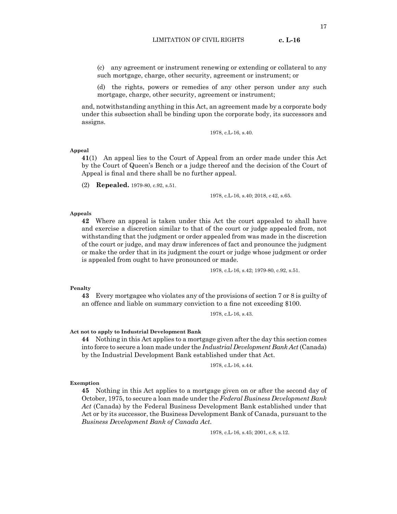(c) any agreement or instrument renewing or extending or collateral to any such mortgage, charge, other security, agreement or instrument; or

(d) the rights, powers or remedies of any other person under any such mortgage, charge, other security, agreement or instrument;

and, notwithstanding anything in this Act, an agreement made by a corporate body under this subsection shall be binding upon the corporate body, its successors and assigns.

1978, c.L-16, s.40.

#### **Appeal**

**41**(1) An appeal lies to the Court of Appeal from an order made under this Act by the Court of Queen's Bench or a judge thereof and the decision of the Court of Appeal is final and there shall be no further appeal.

(2) **Repealed.** 1979-80, c.92, s.51.

1978, c.L-16, s.40; 2018, c42, s.65.

#### **Appeals**

**42** Where an appeal is taken under this Act the court appealed to shall have and exercise a discretion similar to that of the court or judge appealed from, not withstanding that the judgment or order appealed from was made in the discretion of the court or judge, and may draw inferences of fact and pronounce the judgment or make the order that in its judgment the court or judge whose judgment or order is appealed from ought to have pronounced or made.

1978, c.L-16, s.42; 1979-80, c.92, s.51.

#### **Penalty**

**43** Every mortgagee who violates any of the provisions of section 7 or 8 is guilty of an offence and liable on summary conviction to a fine not exceeding \$100.

1978, c.L-16, s.43.

#### **Act not to apply to Industrial Development Bank**

**44** Nothing in this Act applies to a mortgage given after the day this section comes into force to secure a loan made under the *Industrial Development Bank Act* (Canada) by the Industrial Development Bank established under that Act.

1978, c.L-16, s.44.

#### **Exemption**

**45** Nothing in this Act applies to a mortgage given on or after the second day of October, 1975, to secure a loan made under the *Federal Business Development Bank Act* (Canada) by the Federal Business Development Bank established under that Act or by its successor, the Business Development Bank of Canada, pursuant to the *Business Development Bank of Canada Act*.

1978, c.L-16, s.45; 2001, c.8, s.12.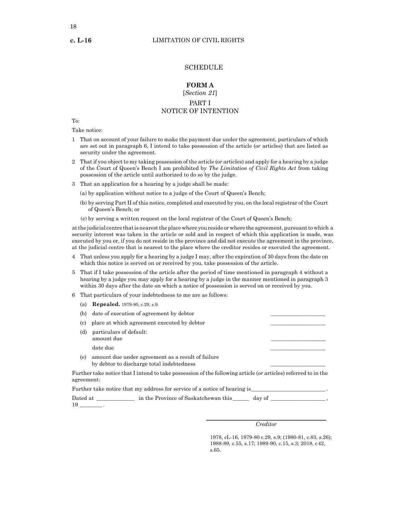#### **SCHEDULE**

# **FORM A**

# [*Section 21*]

## PART I NOTICE OF INTENTION

To:

Take notice:

- 1 That on account of your failure to make the payment due under the agreement, particulars of which are set out in paragraph 6, I intend to take possession of the article (*or* articles) that are listed as security under the agreement.
- 2 That if you object to my taking possession of the article (*or* articles) and apply for a hearing by a judge of the Court of Queen's Bench I am prohibited by *The Limitation of Civil Rights Act* from taking possession of the article until authorized to do so by the judge.
- 3 That an application for a hearing by a judge shall be made:
	- (a) by application without notice to a judge of the Court of Queen's Bench;
	- (b) by serving Part II of this notice, completed and executed by you, on the local registrar of the Court of Queen's Bench; or
	- (c) by serving a written request on the local registrar of the Court of Queen's Bench;

at the judicial centre that is nearest the place where you reside or where the agreement, pursuant to which a security interest was taken in the article or sold and in respect of which this application is made, was executed by you or, if you do not reside in the province and did not execute the agreement in the province, at the judicial centre that is nearest to the place where the creditor resides or executed the agreement.

- 4 That unless you apply for a hearing by a judge I may, after the expiration of 30 days from the date on which this notice is served on or received by you, take possession of the article.
- 5 That if I take possession of the article after the period of time mentioned in paragraph 4 without a hearing by a judge you may apply for a hearing by a judge in the manner mentioned in paragraph 3 within 30 days after the date on which a notice of possession is served on or received by you.
- 6 That particulars of your indebtedness to me are as follows:
	- (a) **Repealed.** 1979-80, c.29, s.9.
	- 6 (b) date of execution of agreement by debtor
	- \_\_\_\_\_\_\_\_\_\_\_\_\_\_\_\_\_\_\_\_ 6 (c) place at which agreement executed by debtor
	- \_\_\_\_\_\_\_\_\_\_\_\_\_\_\_\_\_\_\_\_ \_\_\_\_\_\_\_\_\_\_\_\_\_\_\_\_\_\_\_\_ (d) particulars of default: amount due date due 6 (e) amount due under agreement as a result of failure
	- by debtor to discharge total indebtedness

Further take notice that I intend to take possession of the following article (*or* articles) referred to in the agreement:

|          | Further take notice that my address for service of a notice of hearing is |        |
|----------|---------------------------------------------------------------------------|--------|
| Dated at | in the Province of Saskatchewan this                                      | day of |
|          |                                                                           |        |

#### \_\_\_\_\_\_\_\_\_\_\_\_\_\_\_\_\_\_\_\_\_\_\_\_\_\_\_\_\_\_\_\_\_\_\_\_\_\_\_\_\_\_\_\_ *Creditor*

 $\_$ 

\_\_\_\_\_\_\_\_\_\_\_\_\_\_\_\_\_\_\_\_

1978, cL-16, 1979-80 c.29, s.9; (1980-81, c.83, s.26); 1988-89, c.55, s.17; 1989-90, c.15, s.3; 2018, c42, s.65.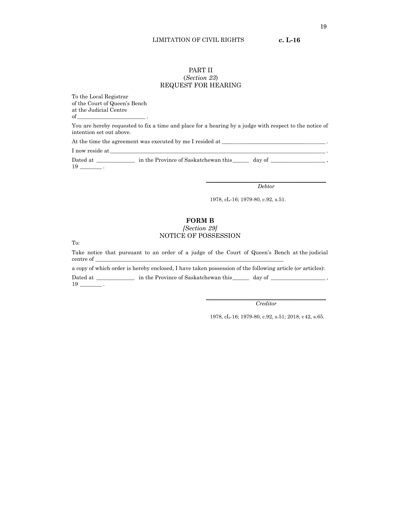#### LIMITATION OF CIVIL RIGHTS **c. L-16**

## PART II (*Section 23*) REQUEST FOR HEARING

To the Local Registrar of the Court of Queen's Bench at the Judicial Centre of \_\_\_\_\_\_\_\_\_\_\_\_\_\_\_\_\_\_\_\_\_\_\_\_\_ .

You are hereby requested to fix a time and place for a hearing by a judge with respect to the notice of intention set out above.

At the time the agreement was executed by me I resided at \_\_\_\_\_\_\_\_\_\_\_\_\_\_\_\_\_\_\_\_\_\_\_\_\_\_\_\_\_\_\_\_\_\_\_\_\_\_ .

I now reside at\_\_\_\_\_\_\_\_\_\_\_\_\_\_\_\_\_\_\_\_\_\_\_\_\_\_\_\_\_\_\_\_\_\_\_\_\_\_\_\_\_\_\_\_\_\_\_\_\_\_\_\_\_\_\_\_\_\_\_\_\_\_\_\_\_\_\_\_\_\_\_\_\_\_\_\_\_\_\_ .

Dated at \_\_\_\_\_\_\_\_\_\_\_\_\_\_\_\_ in the Province of Saskatchewan this \_\_\_\_\_\_\_ day of \_\_\_\_\_\_\_\_\_\_\_\_\_\_\_\_\_\_\_\_\_\_, 19 \_\_\_\_\_\_\_\_ .

> \_\_\_\_\_\_\_\_\_\_\_\_\_\_\_\_\_\_\_\_\_\_\_\_\_\_\_\_\_\_\_\_\_\_\_\_\_\_\_\_\_\_\_\_ *Debtor*

1978, cL-16; 1979-80, c.92, s.51.

## **FORM B**

## *[Section 29]* NOTICE OF POSSESSION

To:

Take notice that pursuant to an order of a judge of the Court of Queen's Bench at the judicial centre of \_

a copy of which order is hereby enclosed, I have taken possession of the following article (*or* articles): Dated at \_\_\_\_\_\_\_\_\_\_\_\_\_\_\_ in the Province of Saskatchewan this \_\_\_\_\_\_\_ day of \_\_\_\_\_\_\_\_\_\_\_\_\_\_\_\_\_\_\_\_\_\_\_\_\_\_\_\_\_\_\_\_\_ 19 \_\_\_\_\_\_\_\_ .

> \_\_\_\_\_\_\_\_\_\_\_\_\_\_\_\_\_\_\_\_\_\_\_\_\_\_\_\_\_\_\_\_\_\_\_\_\_\_\_\_\_\_\_\_ *Creditor*

1978, cL-16; 1979-80, c.92, s.51; 2018, c42, s.65.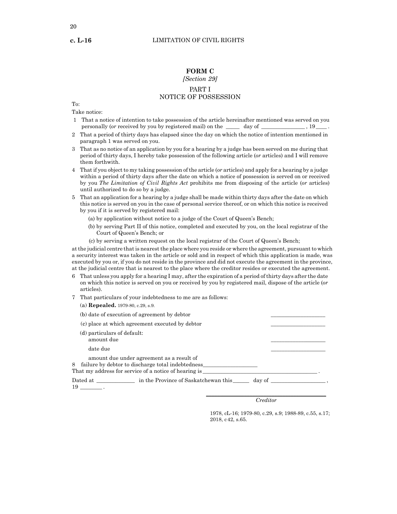20

## **FORM C**

## *[Section 29]* PART I NOTICE OF POSSESSION

To:

Take notice:

- 1 That a notice of intention to take possession of the article hereinafter mentioned was served on you personally (*or* received by you by registered mail) on the \_\_\_\_\_ day of \_\_\_\_\_\_\_\_\_\_\_\_\_\_\_\_\_, 19\_\_\_\_\_.
- 2 That a period of thirty days has elapsed since the day on which the notice of intention mentioned in paragraph 1 was served on you.
- 3 That as no notice of an application by you for a hearing by a judge has been served on me during that period of thirty days, I hereby take possession of the following article (*or* articles) and I will remove them forthwith.
- 4 That if you object to my taking possession of the article (*or* articles) and apply for a hearing by a judge within a period of thirty days after the date on which a notice of possession is served on or received by you *The Limitation of Civil Rights Act* prohibits me from disposing of the article (*or* articles) until authorized to do so by a judge.
- 5 That an application for a hearing by a judge shall be made within thirty days after the date on which this notice is served on you in the case of personal service thereof, or on which this notice is received by you if it is served by registered mail:
	- (a) by application without notice to a judge of the Court of Queen's Bench;
	- (b) by serving Part II of this notice, completed and executed by you, on the local registrar of the Court of Queen's Bench; or
	- (c) by serving a written request on the local registrar of the Court of Queen's Bench;

at the judicial centre that is nearest the place where you reside or where the agreement, pursuant to which a security interest was taken in the article or sold and in respect of which this application is made, was executed by you or, if you do not reside in the province and did not execute the agreement in the province, at the judicial centre that is nearest to the place where the creditor resides or executed the agreement.

- 6 That unless you apply for a hearing I may, after the expiration of a period of thirty days after the date on which this notice is served on you or received by you by registered mail, dispose of the article (*or*  articles).
- 7 That particulars of your indebtedness to me are as follows:
	- (a) **Repealed.** 1979-80, c.29, s.9.
	- (b) date of execution of agreement by debtor
	- (c) place at which agreement executed by debtor
	- (d) particulars of default: amount due (d) date due \_\_\_\_\_\_\_\_\_\_\_\_\_\_\_\_\_\_\_\_ amount due under agreement as a result of

8 failure by debtor to discharge total indebtedness That my address for service of a notice of hearing is\_

| Dated at | in the Province of Saskatchewan this | day of |
|----------|--------------------------------------|--------|
| 19       |                                      |        |

\_\_\_\_\_\_\_\_\_\_\_\_\_\_\_\_\_\_\_\_\_\_\_\_\_\_\_\_\_\_\_\_\_\_\_\_\_\_\_\_\_\_\_\_ *Creditor*

 $\_$ \_\_\_\_\_\_\_\_\_\_\_\_\_\_\_\_\_\_\_\_

1978, cL-16; 1979-80, c.29, s.9; 1988-89, c.55, s.17; 2018, c42, s.65.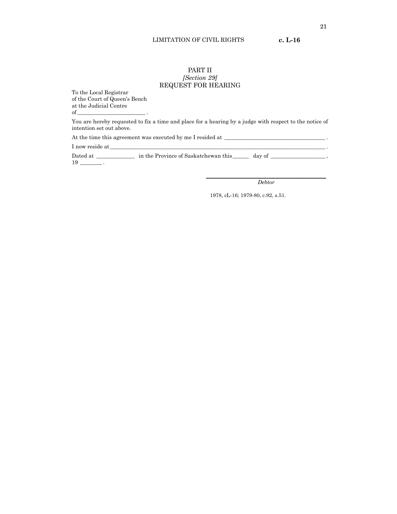#### LIMITATION OF CIVIL RIGHTS **c. L-16**

## PART II *[Section 29]* REQUEST FOR HEARING

To the Local Registrar of the Court of Queen's Bench at the Judicial Centre  $of$   $\qquad \qquad$  .

You are hereby requested to fix a time and place for a hearing by a judge with respect to the notice of intention set out above.

At the time this agreement was executed by me I resided at \_\_\_\_\_\_\_\_\_\_\_\_\_\_\_\_\_\_\_\_\_\_\_\_\_\_\_\_\_\_\_\_\_\_\_\_\_ .

I now reside at\_\_\_\_\_\_\_\_\_\_\_\_\_\_\_\_\_\_\_\_\_\_\_\_\_\_\_\_\_\_\_\_\_\_\_\_\_\_\_\_\_\_\_\_\_\_\_\_\_\_\_\_\_\_\_\_\_\_\_\_\_\_\_\_\_\_\_\_\_\_\_\_\_\_\_\_\_\_\_ .

Dated at \_\_\_\_\_\_\_\_\_\_\_\_\_\_ in the Province of Saskatchewan this\_\_\_\_\_\_ day of \_\_\_\_\_\_\_\_\_\_\_\_\_\_\_\_\_\_\_\_ , 19 \_\_\_\_\_\_\_\_ .

> \_\_\_\_\_\_\_\_\_\_\_\_\_\_\_\_\_\_\_\_\_\_\_\_\_\_\_\_\_\_\_\_\_\_\_\_\_\_\_\_\_\_\_\_ *Debtor*

1978, cL-16; 1979-80, c.92, s.51.